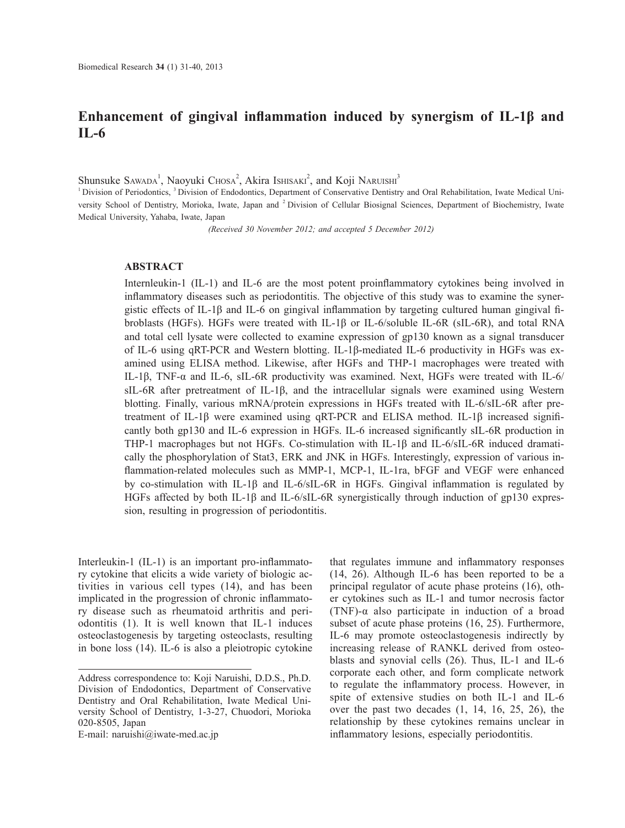# **Enhancement of gingival inflammation induced by synergism of IL-1β and IL-6**

Shunsuke Sawada<sup>1</sup>, Naoyuki Chosa<sup>2</sup>, Akira Ishisaki<sup>2</sup>, and Koji Naruishi<sup>3</sup>

<sup>1</sup> Division of Periodontics, <sup>3</sup> Division of Endodontics, Department of Conservative Dentistry and Oral Rehabilitation, Iwate Medical University School of Dentistry, Morioka, Iwate, Japan and 2 Division of Cellular Biosignal Sciences, Department of Biochemistry, Iwate Medical University, Yahaba, Iwate, Japan

*(Received 30 November 2012; and accepted 5 December 2012)*

# **ABSTRACT**

Internleukin-1 (IL-1) and IL-6 are the most potent proinflammatory cytokines being involved in inflammatory diseases such as periodontitis. The objective of this study was to examine the synergistic effects of IL-1β and IL-6 on gingival inflammation by targeting cultured human gingival fibroblasts (HGFs). HGFs were treated with IL-1β or IL-6/soluble IL-6R (sIL-6R), and total RNA and total cell lysate were collected to examine expression of gp130 known as a signal transducer of IL-6 using qRT-PCR and Western blotting. IL-1β-mediated IL-6 productivity in HGFs was examined using ELISA method. Likewise, after HGFs and THP-1 macrophages were treated with IL-1β, TNF-α and IL-6, sIL-6R productivity was examined. Next, HGFs were treated with IL-6/ sIL-6R after pretreatment of IL-1β, and the intracellular signals were examined using Western blotting. Finally, various mRNA/protein expressions in HGFs treated with IL-6/sIL-6R after pretreatment of IL-1β were examined using qRT-PCR and ELISA method. IL-1β increased significantly both gp130 and IL-6 expression in HGFs. IL-6 increased significantly sIL-6R production in THP-1 macrophages but not HGFs. Co-stimulation with IL-1β and IL-6/sIL-6R induced dramatically the phosphorylation of Stat3, ERK and JNK in HGFs. Interestingly, expression of various inflammation-related molecules such as MMP-1, MCP-1, IL-1ra, bFGF and VEGF were enhanced by co-stimulation with IL-1β and IL-6/sIL-6R in HGFs. Gingival inflammation is regulated by HGFs affected by both IL-1β and IL-6/sIL-6R synergistically through induction of gp130 expression, resulting in progression of periodontitis.

Interleukin-1 (IL-1) is an important pro-inflammatory cytokine that elicits a wide variety of biologic activities in various cell types (14), and has been implicated in the progression of chronic inflammatory disease such as rheumatoid arthritis and periodontitis (1). It is well known that IL-1 induces osteoclastogenesis by targeting osteoclasts, resulting in bone loss (14). IL-6 is also a pleiotropic cytokine

E-mail: naruishi@iwate-med.ac.jp

that regulates immune and inflammatory responses (14, 26). Although IL-6 has been reported to be a principal regulator of acute phase proteins (16), other cytokines such as IL-1 and tumor necrosis factor (TNF)-α also participate in induction of a broad subset of acute phase proteins (16, 25). Furthermore, IL-6 may promote osteoclastogenesis indirectly by increasing release of RANKL derived from osteoblasts and synovial cells (26). Thus, IL-1 and IL-6 corporate each other, and form complicate network to regulate the inflammatory process. However, in spite of extensive studies on both IL-1 and IL-6 over the past two decades (1, 14, 16, 25, 26), the relationship by these cytokines remains unclear in inflammatory lesions, especially periodontitis.

Address correspondence to: Koji Naruishi, D.D.S., Ph.D. Division of Endodontics, Department of Conservative Dentistry and Oral Rehabilitation, Iwate Medical University School of Dentistry, 1-3-27, Chuodori, Morioka 020-8505, Japan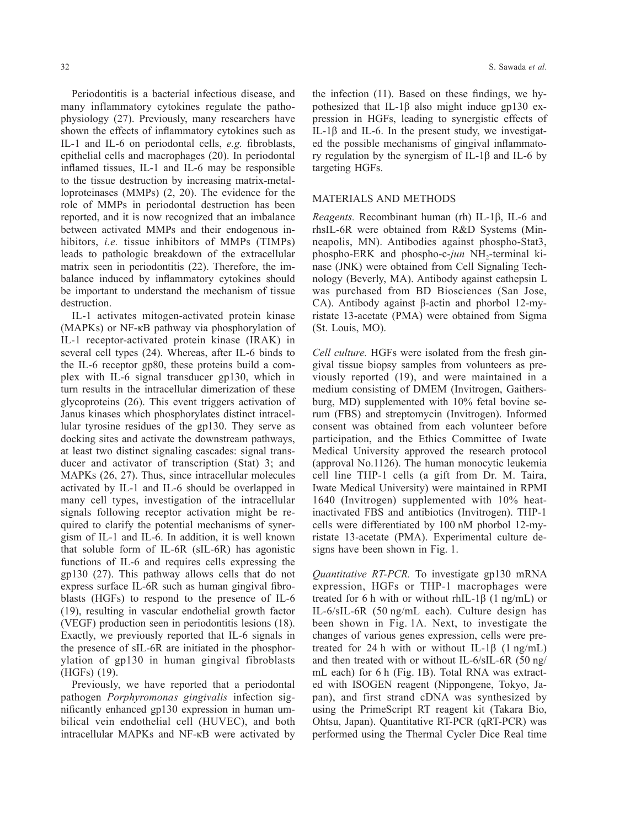Periodontitis is a bacterial infectious disease, and many inflammatory cytokines regulate the pathophysiology (27). Previously, many researchers have shown the effects of inflammatory cytokines such as IL-1 and IL-6 on periodontal cells, *e.g.* fibroblasts, epithelial cells and macrophages (20). In periodontal inflamed tissues, IL-1 and IL-6 may be responsible to the tissue destruction by increasing matrix-metalloproteinases (MMPs) (2, 20). The evidence for the role of MMPs in periodontal destruction has been reported, and it is now recognized that an imbalance between activated MMPs and their endogenous inhibitors, *i.e.* tissue inhibitors of MMPs (TIMPs) leads to pathologic breakdown of the extracellular matrix seen in periodontitis (22). Therefore, the imbalance induced by inflammatory cytokines should be important to understand the mechanism of tissue destruction.

IL-1 activates mitogen-activated protein kinase (MAPKs) or NF-κB pathway via phosphorylation of IL-1 receptor-activated protein kinase (IRAK) in several cell types (24). Whereas, after IL-6 binds to the IL-6 receptor gp80, these proteins build a complex with IL-6 signal transducer gp130, which in turn results in the intracellular dimerization of these glycoproteins (26). This event triggers activation of Janus kinases which phosphorylates distinct intracellular tyrosine residues of the gp130. They serve as docking sites and activate the downstream pathways, at least two distinct signaling cascades: signal transducer and activator of transcription (Stat) 3; and MAPKs (26, 27). Thus, since intracellular molecules activated by IL-1 and IL-6 should be overlapped in many cell types, investigation of the intracellular signals following receptor activation might be required to clarify the potential mechanisms of synergism of IL-1 and IL-6. In addition, it is well known that soluble form of IL-6R (sIL-6R) has agonistic functions of IL-6 and requires cells expressing the gp130 (27). This pathway allows cells that do not express surface IL-6R such as human gingival fibroblasts (HGFs) to respond to the presence of IL-6 (19), resulting in vascular endothelial growth factor (VEGF) production seen in periodontitis lesions (18). Exactly, we previously reported that IL-6 signals in the presence of sIL-6R are initiated in the phosphorylation of gp130 in human gingival fibroblasts (HGFs) (19).

Previously, we have reported that a periodontal pathogen *Porphyromonas gingivalis* infection significantly enhanced gp130 expression in human umbilical vein endothelial cell (HUVEC), and both intracellular MAPKs and NF-κB were activated by the infection (11). Based on these findings, we hypothesized that IL-1β also might induce gp130 expression in HGFs, leading to synergistic effects of IL-1β and IL-6. In the present study, we investigated the possible mechanisms of gingival inflammatory regulation by the synergism of IL-1β and IL-6 by targeting HGFs.

### MATERIALS AND METHODS

*Reagents.* Recombinant human (rh) IL-1β, IL-6 and rhsIL-6R were obtained from R&D Systems (Minneapolis, MN). Antibodies against phospho-Stat3, phospho-ERK and phospho-c-*jun* NH<sub>2</sub>-terminal kinase (JNK) were obtained from Cell Signaling Technology (Beverly, MA). Antibody against cathepsin L was purchased from BD Biosciences (San Jose, CA). Antibody against β-actin and phorbol 12-myristate 13-acetate (PMA) were obtained from Sigma (St. Louis, MO).

*Cell culture.* HGFs were isolated from the fresh gingival tissue biopsy samples from volunteers as previously reported (19), and were maintained in a medium consisting of DMEM (Invitrogen, Gaithersburg, MD) supplemented with 10% fetal bovine serum (FBS) and streptomycin (Invitrogen). Informed consent was obtained from each volunteer before participation, and the Ethics Committee of Iwate Medical University approved the research protocol (approval No.1126). The human monocytic leukemia cell line THP-1 cells (a gift from Dr. M. Taira, Iwate Medical University) were maintained in RPMI 1640 (Invitrogen) supplemented with 10% heatinactivated FBS and antibiotics (Invitrogen). THP-1 cells were differentiated by 100 nM phorbol 12-myristate 13-acetate (PMA). Experimental culture designs have been shown in Fig. 1.

*Quantitative RT-PCR.* To investigate gp130 mRNA expression, HGFs or THP-1 macrophages were treated for 6 h with or without rhIL-1 $\beta$  (1 ng/mL) or IL-6/sIL-6R (50 ng/mL each). Culture design has been shown in Fig. 1A. Next, to investigate the changes of various genes expression, cells were pretreated for 24 h with or without IL-1 $\beta$  (1 ng/mL) and then treated with or without IL-6/sIL-6R (50 ng/ mL each) for 6 h (Fig. 1B). Total RNA was extracted with ISOGEN reagent (Nippongene, Tokyo, Japan), and first strand cDNA was synthesized by using the PrimeScript RT reagent kit (Takara Bio, Ohtsu, Japan). Quantitative RT-PCR (qRT-PCR) was performed using the Thermal Cycler Dice Real time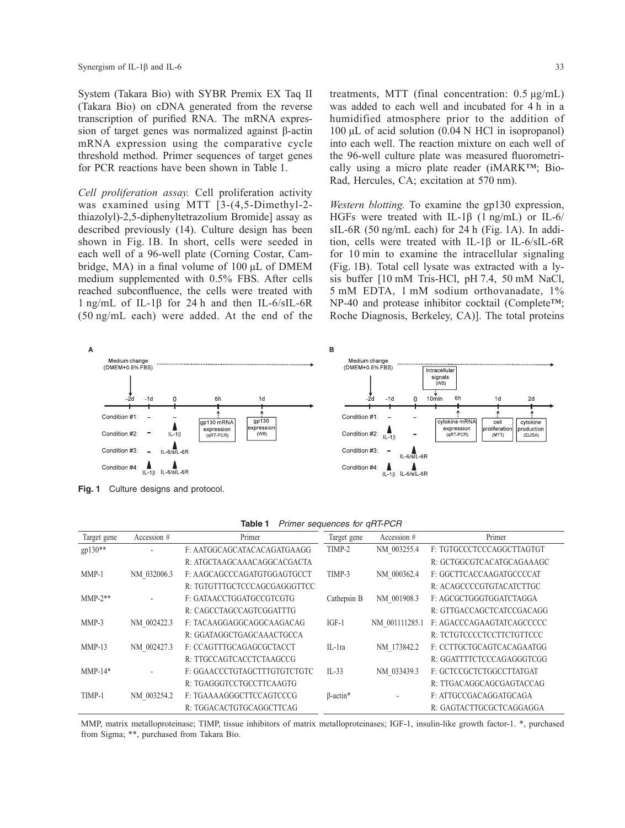System (Takara Bio) with SYBR Premix EX Taq II (Takara Bio) on cDNA generated from the reverse transcription of purified RNA. The mRNA expression of target genes was normalized against β-actin mRNA expression using the comparative cycle threshold method. Primer sequences of target genes for PCR reactions have been shown in Table 1.

*Cell proliferation assay.* Cell proliferation activity was examined using MTT [3-(4,5-Dimethyl-2 thiazolyl)-2,5-diphenyltetrazolium Bromide] assay as described previously (14). Culture design has been shown in Fig. 1B. In short, cells were seeded in each well of a 96-well plate (Corning Costar, Cambridge, MA) in a final volume of 100 μL of DMEM medium supplemented with 0.5% FBS. After cells reached subconfluence, the cells were treated with 1 ng/mL of IL-1β for 24 h and then IL-6/sIL-6R (50 ng/mL each) were added. At the end of the treatments, MTT (final concentration: 0.5 μg/mL) was added to each well and incubated for 4 h in a humidified atmosphere prior to the addition of 100 μL of acid solution (0.04 N HCl in isopropanol) into each well. The reaction mixture on each well of the 96-well culture plate was measured fluorometrically using a micro plate reader (iMARK™; Bio-Rad, Hercules, CA; excitation at 570 nm).

*Western blotting.* To examine the gp130 expression, HGFs were treated with IL-1β (1 ng/mL) or IL-6/ sIL-6R (50 ng/mL each) for 24 h (Fig. 1A). In addition, cells were treated with IL-1β or IL-6/sIL-6R for 10 min to examine the intracellular signaling (Fig. 1B). Total cell lysate was extracted with a lysis buffer [10 mM Tris-HCl, pH 7.4, 50 mM NaCl, 5 mM EDTA, 1 mM sodium orthovanadate, 1% NP-40 and protease inhibitor cocktail (Complete™; Roche Diagnosis, Berkeley, CA)]. The total proteins



| <b>Table 1</b> Primer sequences for qRT-PCR |  |
|---------------------------------------------|--|

| Target gene | Accession # | Primer                       | Target gene     | Accession #    | Primer                    |
|-------------|-------------|------------------------------|-----------------|----------------|---------------------------|
| gp130**     |             | F: AATGGCAGCATACACAGATGAAGG  | TIMP-2          | NM 003255.4    | F. TGTGCCCTCCCAGGCTTAGTGT |
|             |             | R: ATGCTAAGCAAACAGGCACGACTA  |                 |                | R: GCTGGCGTCACATGCAGAAAGC |
| $MMP-1$     | NM 032006.3 | F: AAGCAGCCCAGATGTGGAGTGCCT  | TIMP-3          | NM 000362.4    | F: GGCTTCACCAAGATGCCCCAT  |
|             |             | R: TGTGTTTGCTCCCAGCGAGGGTTCC |                 |                | R: ACAGCCCCGTGTACATCTTGC  |
| $MMP-2**$   |             | F: GATAACCTGGATGCCGTCGTG     | Cathepsin B     | NM 001908.3    | F: AGCGCTGGGTGGATCTAGGA   |
|             |             | R: CAGCCTAGCCAGTCGGATTTG     |                 |                | R: GTTGACCAGCTCATCCGACAGG |
| $MMP-3$     | NM 002422.3 | F: TACAAGGAGGCAGGCAAGACAG    | $IGF-1$         | NM 001111285.1 | F: AGACCCAGAAGTATCAGCCCCC |
|             |             | R: GGATAGGCTGAGCAAACTGCCA    |                 |                | R: TCTGTCCCCTCCTTCTGTTCCC |
| $MMP-13$    | NM 002427.3 | F: CCAGTTTGCAGAGCGCTACCT     | IL-1ra          | NM 173842.2    | F. CCTTGCTGCAGTCACAGAATGG |
|             |             | R: TTGCCAGTCACCTCTAAGCCG     |                 |                | R: GGATTTTCTCCCAGAGGGTCGG |
| $MMP-14*$   |             | F: GGAACCCTGTAGCTTTGTGTCTGTC | $IL-33$         | NM 033439.3    | F: GCTCCGCTCTGGCCTTATGAT  |
|             |             | R: TGAGGGTCCTGCCTTCAAGTG     |                 |                | R: TTGACAGGCAGCGAGTACCAG  |
| TIMP-1      | NM 003254.2 | F: TGAAAAGGGCTTCCAGTCCCG     | $\beta$ -actin* |                | F: ATTGCCGACAGGATGCAGA    |
|             |             | R: TGGACACTGTGCAGGCTTCAG     |                 |                | R: GAGTACTTGCGCTCAGGAGGA  |

MMP, matrix metalloproteinase; TIMP, tissue inhibitors of matrix metalloproteinases; IGF-1, insulin-like growth factor-1. \*, purchased from Sigma; \*\*, purchased from Takara Bio.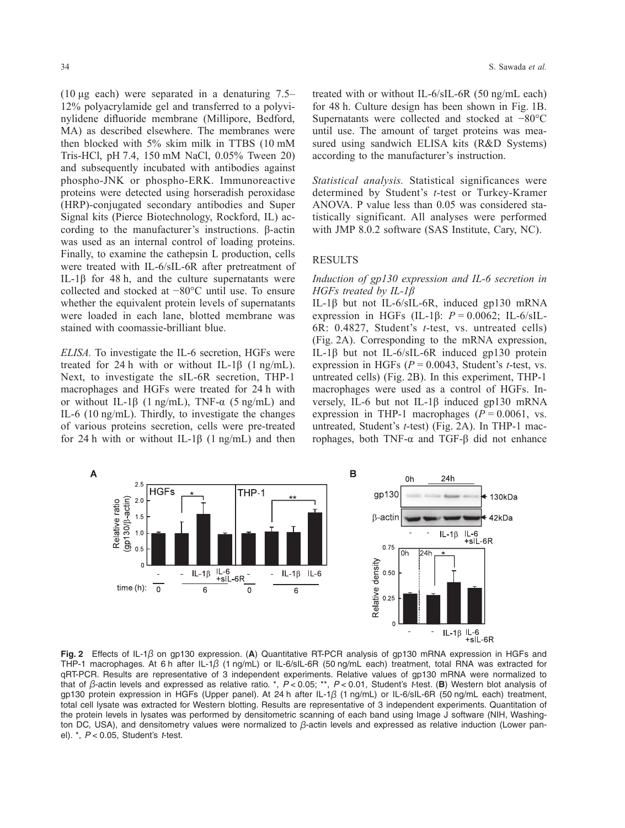(10 μg each) were separated in a denaturing 7.5– 12% polyacrylamide gel and transferred to a polyvinylidene difluoride membrane (Millipore, Bedford, MA) as described elsewhere. The membranes were then blocked with 5% skim milk in TTBS (10 mM Tris-HCl, pH 7.4, 150 mM NaCl, 0.05% Tween 20) and subsequently incubated with antibodies against phospho-JNK or phospho-ERK. Immunoreactive proteins were detected using horseradish peroxidase (HRP)-conjugated secondary antibodies and Super Signal kits (Pierce Biotechnology, Rockford, IL) according to the manufacturer's instructions. β-actin was used as an internal control of loading proteins. Finally, to examine the cathepsin L production, cells were treated with IL-6/sIL-6R after pretreatment of IL-1β for 48 h, and the culture supernatants were collected and stocked at −80°C until use. To ensure whether the equivalent protein levels of supernatants were loaded in each lane, blotted membrane was stained with coomassie-brilliant blue.

*ELISA.* To investigate the IL-6 secretion, HGFs were treated for 24 h with or without IL-1 $\beta$  (1 ng/mL). Next, to investigate the sIL-6R secretion, THP-1 macrophages and HGFs were treated for 24 h with or without IL-1 $\beta$  (1 ng/mL), TNF- $\alpha$  (5 ng/mL) and IL-6 (10 ng/mL). Thirdly, to investigate the changes of various proteins secretion, cells were pre-treated for 24 h with or without IL-1 $\beta$  (1 ng/mL) and then treated with or without IL-6/sIL-6R (50 ng/mL each) for 48 h. Culture design has been shown in Fig. 1B. Supernatants were collected and stocked at −80°C until use. The amount of target proteins was measured using sandwich ELISA kits (R&D Systems) according to the manufacturer's instruction.

*Statistical analysis.* Statistical significances were determined by Student's *t*-test or Turkey-Kramer ANOVA. P value less than 0.05 was considered statistically significant. All analyses were performed with JMP 8.0.2 software (SAS Institute, Cary, NC).

# **RESULTS**

#### *Induction of gp130 expression and IL-6 secretion in HGFs treated by IL-1β*

IL-1β but not IL-6/sIL-6R, induced gp130 mRNA expression in HGFs (IL-1β: *P* = 0.0062; IL-6/sIL-6R: 0.4827, Student's *t*-test, vs. untreated cells) (Fig. 2A). Corresponding to the mRNA expression, IL-1β but not IL-6/sIL-6R induced gp130 protein expression in HGFs (*P* = 0.0043, Student's *t*-test, vs. untreated cells) (Fig. 2B). In this experiment, THP-1 macrophages were used as a control of HGFs. Inversely, IL-6 but not IL-1β induced gp130 mRNA expression in THP-1 macrophages  $(P = 0.0061, \text{ vs.})$ untreated, Student's *t*-test) (Fig. 2A). In THP-1 macrophages, both TNF-α and TGF-β did not enhance



**Fig. 2** Effects of IL-1β on gp130 expression. (**A**) Quantitative RT-PCR analysis of gp130 mRNA expression in HGFs and THP-1 macrophages. At 6 h after IL-1β (1 ng/mL) or IL-6/sIL-6R (50 ng/mL each) treatment, total RNA was extracted for qRT-PCR. Results are representative of 3 independent experiments. Relative values of gp130 mRNA were normalized to that of β-actin levels and expressed as relative ratio. \*, *P* < 0.05; \*\*, *P* < 0.01, Student's *t*-test. (**B**) Western blot analysis of gp130 protein expression in HGFs (Upper panel). At 24 h after IL-1β (1 ng/mL) or IL-6/sIL-6R (50 ng/mL each) treatment, total cell lysate was extracted for Western blotting. Results are representative of 3 independent experiments. Quantitation of the protein levels in lysates was performed by densitometric scanning of each band using Image J software (NIH, Washington DC, USA), and densitometry values were normalized to β-actin levels and expressed as relative induction (Lower panel). \*, *P* < 0.05, Student's *t*-test.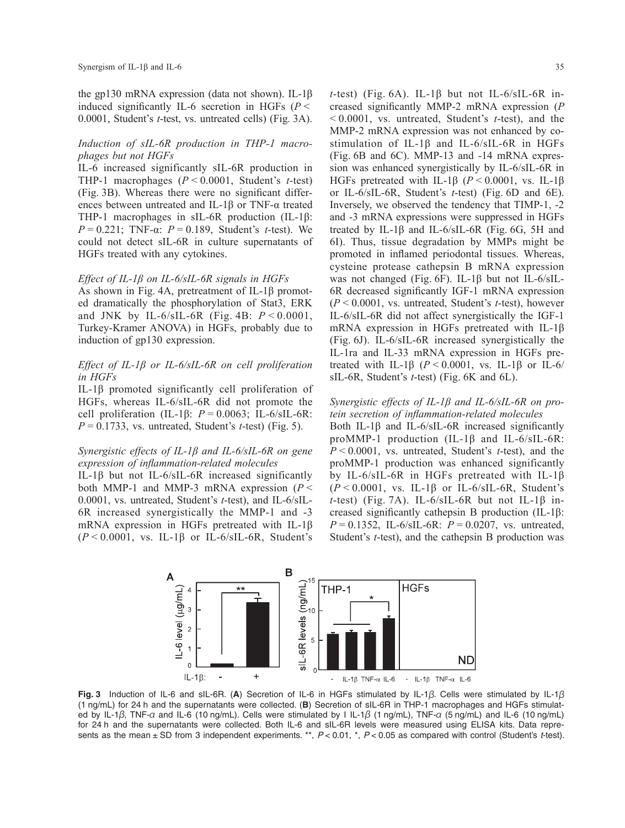the gp130 mRNA expression (data not shown). IL-1β induced significantly IL-6 secretion in HGFs (*P* < 0.0001, Student's *t*-test, vs. untreated cells) (Fig. 3A).

#### *Induction of sIL-6R production in THP-1 macrophages but not HGFs*

IL-6 increased significantly sIL-6R production in THP-1 macrophages (*P* < 0.0001, Student's *t*-test) (Fig. 3B). Whereas there were no significant differences between untreated and IL-1β or TNF-α treated THP-1 macrophages in sIL-6R production (IL-1β:  $P = 0.221$ ; TNF- $\alpha$ :  $P = 0.189$ , Student's *t*-test). We could not detect sIL-6R in culture supernatants of HGFs treated with any cytokines.

#### *Effect of IL-1β on IL-6/sIL-6R signals in HGFs*

As shown in Fig. 4A, pretreatment of IL-1β promoted dramatically the phosphorylation of Stat3, ERK and JNK by IL-6/sIL-6R (Fig. 4B: *P* < 0.0001, Turkey-Kramer ANOVA) in HGFs, probably due to induction of gp130 expression.

### *Effect of IL-1β or IL-6/sIL-6R on cell proliferation in HGFs*

IL-1β promoted significantly cell proliferation of HGFs, whereas IL-6/sIL-6R did not promote the cell proliferation (IL-1β: *P* = 0.0063; IL-6/sIL-6R: *P* = 0.1733, vs. untreated, Student's *t*-test) (Fig. 5).

#### *Synergistic effects of IL-1β and IL-6/sIL-6R on gene expression of inflammation-related molecules*

IL-1β but not IL-6/sIL-6R increased significantly both MMP-1 and MMP-3 mRNA expression (*P* < 0.0001, vs. untreated, Student's *t*-test), and IL-6/sIL-6R increased synergistically the MMP-1 and -3 mRNA expression in HGFs pretreated with IL-1β  $(P < 0.0001$ , vs. IL-1 $\beta$  or IL-6/sIL-6R, Student's

*t*-test) (Fig. 6A). IL-1 $\beta$  but not IL-6/sIL-6R increased significantly MMP-2 mRNA expression (*P* < 0.0001, vs. untreated, Student's *t*-test), and the MMP-2 mRNA expression was not enhanced by costimulation of IL-1β and IL-6/sIL-6R in HGFs (Fig. 6B and 6C). MMP-13 and -14 mRNA expression was enhanced synergistically by IL-6/sIL-6R in HGFs pretreated with IL-1β ( $P < 0.0001$ , vs. IL-1β or IL-6/sIL-6R, Student's *t*-test) (Fig. 6D and 6E). Inversely, we observed the tendency that TIMP-1, -2 and -3 mRNA expressions were suppressed in HGFs treated by IL-1β and IL-6/sIL-6R (Fig. 6G, 5H and 6I). Thus, tissue degradation by MMPs might be promoted in inflamed periodontal tissues. Whereas, cysteine protease cathepsin B mRNA expression was not changed (Fig. 6F). IL-1β but not IL-6/sIL-6R decreased significantly IGF-1 mRNA expression (*P* < 0.0001, vs. untreated, Student's *t*-test), however IL-6/sIL-6R did not affect synergistically the IGF-1 mRNA expression in HGFs pretreated with IL-1β (Fig. 6J). IL-6/sIL-6R increased synergistically the IL-1ra and IL-33 mRNA expression in HGFs pretreated with IL-1 $\beta$  ( $P < 0.0001$ , vs. IL-1 $\beta$  or IL-6/ sIL-6R, Student's *t*-test) (Fig. 6K and 6L).

#### *Synergistic effects of IL-1β and IL-6/sIL-6R on protein secretion of inflammation-related molecules*

Both IL-1β and IL-6/sIL-6R increased significantly proMMP-1 production (IL-1β and IL-6/sIL-6R: *P* < 0.0001, vs. untreated, Student's *t*-test), and the proMMP-1 production was enhanced significantly by IL-6/sIL-6R in HGFs pretreated with IL-1β (*P* < 0.0001, vs. IL-1β or IL-6/sIL-6R, Student's *t*-test) (Fig. 7A). IL-6/sIL-6R but not IL-1β increased significantly cathepsin B production (IL-1β: *P* = 0.1352, IL-6/sIL-6R: *P* = 0.0207, vs. untreated, Student's *t*-test), and the cathepsin B production was



**Fig. 3** Induction of IL-6 and sIL-6R. (**A**) Secretion of IL-6 in HGFs stimulated by IL-1β. Cells were stimulated by IL-1β (1 ng/mL) for 24 h and the supernatants were collected. (**B**) Secretion of sIL-6R in THP-1 macrophages and HGFs stimulated by IL-1 $\beta$ , TNF- $\alpha$  and IL-6 (10 ng/mL). Cells were stimulated by I IL-1 $\beta$  (1 ng/mL), TNF- $\alpha$  (5 ng/mL) and IL-6 (10 ng/mL) for 24 h and the supernatants were collected. Both IL-6 and sIL-6R levels were measured using ELISA kits. Data represents as the mean ± SD from 3 independent experiments. \*\*, *P* < 0.01, \*, *P* < 0.05 as compared with control (Student's *t*-test).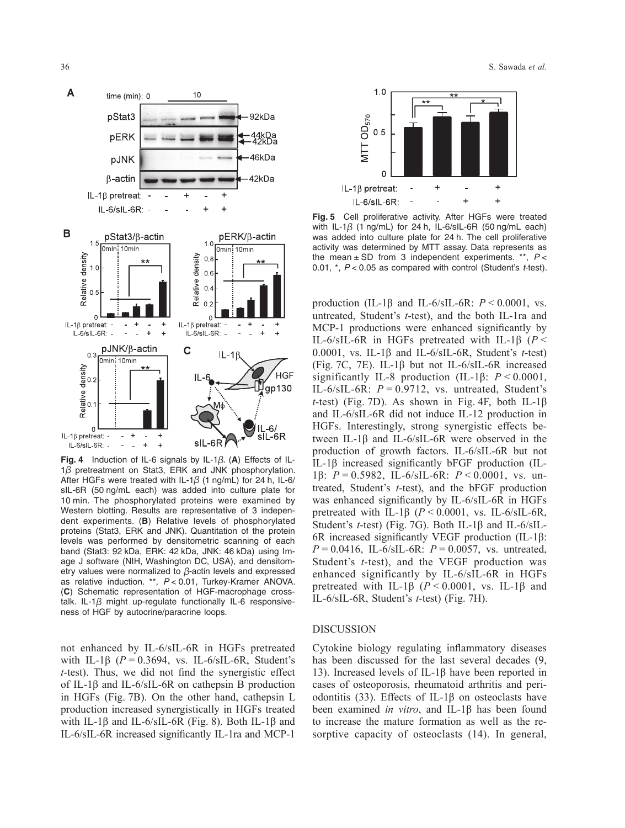

**Fig. 4** Induction of IL-6 signals by IL-1β. (**A**) Effects of IL-1β pretreatment on Stat3, ERK and JNK phosphorylation. After HGFs were treated with IL-1 $\beta$  (1 ng/mL) for 24 h, IL-6/ sIL-6R (50 ng/mL each) was added into culture plate for 10 min. The phosphorylated proteins were examined by Western blotting. Results are representative of 3 independent experiments. (**B**) Relative levels of phosphorylated proteins (Stat3, ERK and JNK). Quantitation of the protein levels was performed by densitometric scanning of each band (Stat3: 92 kDa, ERK: 42 kDa, JNK: 46 kDa) using Image J software (NIH, Washington DC, USA), and densitometry values were normalized to β-actin levels and expressed as relative induction. \*\*, *P* < 0.01, Turkey-Kramer ANOVA. (**C**) Schematic representation of HGF-macrophage crosstalk. IL-1 $\beta$  might up-regulate functionally IL-6 responsiveness of HGF by autocrine/paracrine loops.

not enhanced by IL-6/sIL-6R in HGFs pretreated with IL-1 $\beta$  ( $P = 0.3694$ , vs. IL-6/sIL-6R, Student's *t*-test). Thus, we did not find the synergistic effect of IL-1 $\beta$  and IL-6/sIL-6R on cathepsin B production in HGFs (Fig. 7B). On the other hand, cathepsin L production increased synergistically in HGFs treated with IL-1 $\beta$  and IL-6/sIL-6R (Fig. 8). Both IL-1 $\beta$  and IL-6/sIL-6R increased significantly IL-1ra and MCP-1



**Fig. 5** Cell proliferative activity. After HGFs were treated with IL-1 $\beta$  (1 ng/mL) for 24 h, IL-6/sIL-6R (50 ng/mL each) was added into culture plate for 24 h. The cell proliferative activity was determined by MTT assay. Data represents as the mean ± SD from 3 independent experiments. \*\*, *P* < 0.01, \*, *P* < 0.05 as compared with control (Student's *t*-test).

production (IL-1β and IL-6/sIL-6R: *P* < 0.0001, vs. untreated, Student's *t*-test), and the both IL-1ra and MCP-1 productions were enhanced significantly by IL-6/sIL-6R in HGFs pretreated with IL-1β (*P* < 0.0001, vs. IL-1β and IL-6/sIL-6R, Student's *t*-test) (Fig. 7C, 7E). IL-1β but not IL-6/sIL-6R increased significantly IL-8 production (IL-1β: *P* < 0.0001, IL- $6/\text{s}$ IL- $6\text{R}$ :  $P = 0.9712$ , vs. untreated, Student's *t*-test) (Fig. 7D). As shown in Fig. 4F, both IL-1β and IL-6/sIL-6R did not induce IL-12 production in HGFs. Interestingly, strong synergistic effects between IL-1β and IL-6/sIL-6R were observed in the production of growth factors. IL-6/sIL-6R but not IL-1β increased significantly bFGF production (IL-1β: *P* = 0.5982, IL-6/sIL-6R: *P* < 0.0001, vs. untreated, Student's *t*-test), and the bFGF production was enhanced significantly by IL-6/sIL-6R in HGFs pretreated with IL-1β (*P* < 0.0001, vs. IL-6/sIL-6R, Student's *t*-test) (Fig. 7G). Both IL-1β and IL-6/sIL-6R increased significantly VEGF production (IL-1β: *P* = 0.0416, IL-6/sIL-6R: *P* = 0.0057, vs. untreated, Student's *t*-test), and the VEGF production was enhanced significantly by IL-6/sIL-6R in HGFs pretreated with IL-1β (*P* < 0.0001, vs. IL-1β and IL-6/sIL-6R, Student's *t*-test) (Fig. 7H).

# DISCUSSION

Cytokine biology regulating inflammatory diseases has been discussed for the last several decades (9, 13). Increased levels of IL-1β have been reported in cases of osteoporosis, rheumatoid arthritis and periodontitis (33). Effects of IL-1β on osteoclasts have been examined *in vitro*, and IL-1β has been found to increase the mature formation as well as the resorptive capacity of osteoclasts (14). In general,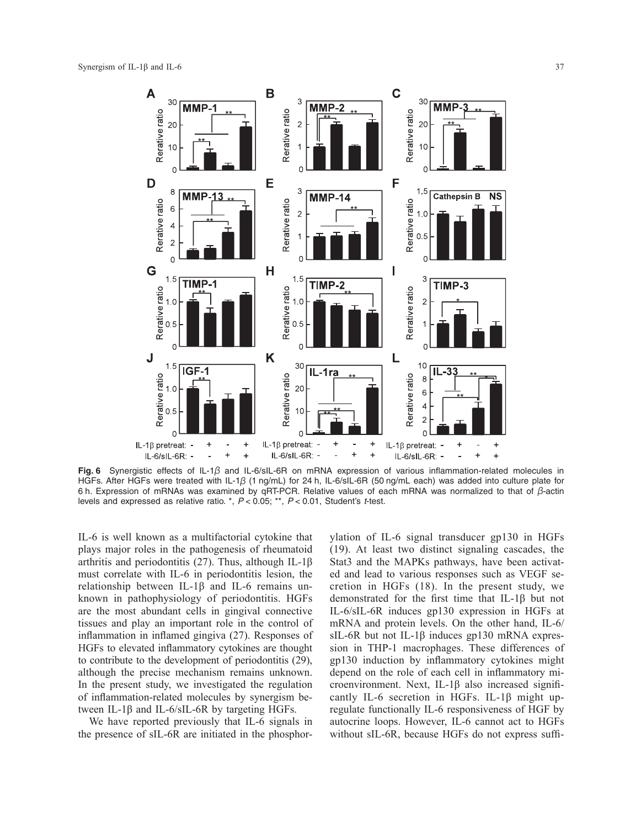

**Fig. 6** Synergistic effects of IL-1β and IL-6/sIL-6R on mRNA expression of various inflammation-related molecules in HGFs. After HGFs were treated with IL-1β (1 ng/mL) for 24 h, IL-6/sIL-6R (50 ng/mL each) was added into culture plate for 6 h. Expression of mRNAs was examined by qRT-PCR. Relative values of each mRNA was normalized to that of β-actin levels and expressed as relative ratio. \*, *P* < 0.05; \*\*, *P* < 0.01, Student's *t*-test.

IL-6 is well known as a multifactorial cytokine that plays major roles in the pathogenesis of rheumatoid arthritis and periodontitis (27). Thus, although IL-1β must correlate with IL-6 in periodontitis lesion, the relationship between IL-1β and IL-6 remains unknown in pathophysiology of periodontitis. HGFs are the most abundant cells in gingival connective tissues and play an important role in the control of inflammation in inflamed gingiva (27). Responses of HGFs to elevated inflammatory cytokines are thought to contribute to the development of periodontitis (29), although the precise mechanism remains unknown. In the present study, we investigated the regulation of inflammation-related molecules by synergism between IL-1β and IL-6/sIL-6R by targeting HGFs.

We have reported previously that IL-6 signals in the presence of sIL-6R are initiated in the phosphorylation of IL-6 signal transducer gp130 in HGFs (19). At least two distinct signaling cascades, the Stat3 and the MAPKs pathways, have been activated and lead to various responses such as VEGF secretion in HGFs (18). In the present study, we demonstrated for the first time that IL-1β but not IL-6/sIL-6R induces gp130 expression in HGFs at mRNA and protein levels. On the other hand, IL-6/ sIL-6R but not IL-1β induces gp130 mRNA expression in THP-1 macrophages. These differences of gp130 induction by inflammatory cytokines might depend on the role of each cell in inflammatory microenvironment. Next, IL-1β also increased significantly IL-6 secretion in HGFs. IL-1β might upregulate functionally IL-6 responsiveness of HGF by autocrine loops. However, IL-6 cannot act to HGFs without sIL-6R, because HGFs do not express suffi-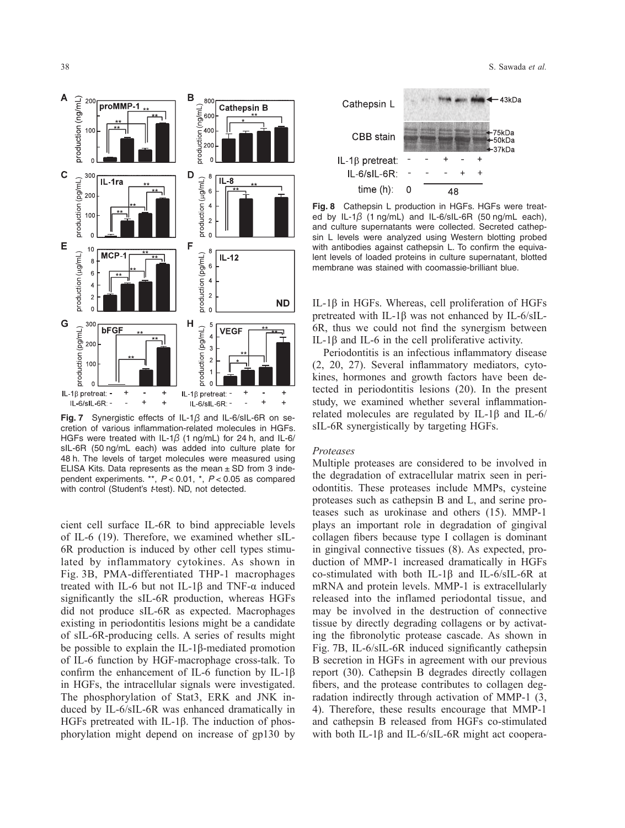

**Fig. 7** Synergistic effects of IL-1β and IL-6/sIL-6R on secretion of various inflammation-related molecules in HGFs. HGFs were treated with IL-1 $\beta$  (1 ng/mL) for 24 h, and IL-6/ sIL-6R (50 ng/mL each) was added into culture plate for 48 h. The levels of target molecules were measured using ELISA Kits. Data represents as the mean  $\pm$  SD from 3 independent experiments. \*\*, *P* < 0.01, \*, *P* < 0.05 as compared with control (Student's *t*-test). ND, not detected.

cient cell surface IL-6R to bind appreciable levels of IL-6 (19). Therefore, we examined whether sIL-6R production is induced by other cell types stimulated by inflammatory cytokines. As shown in Fig. 3B, PMA-differentiated THP-1 macrophages treated with IL-6 but not IL-1β and TNF-α induced significantly the sIL-6R production, whereas HGFs did not produce sIL-6R as expected. Macrophages existing in periodontitis lesions might be a candidate of sIL-6R-producing cells. A series of results might be possible to explain the IL-1β-mediated promotion of IL-6 function by HGF-macrophage cross-talk. To confirm the enhancement of IL-6 function by IL-1β in HGFs, the intracellular signals were investigated. The phosphorylation of Stat3, ERK and JNK induced by IL-6/sIL-6R was enhanced dramatically in HGFs pretreated with IL-1β. The induction of phosphorylation might depend on increase of gp130 by



**Fig. 8** Cathepsin L production in HGFs. HGFs were treated by IL-1 $\beta$  (1 ng/mL) and IL-6/sIL-6R (50 ng/mL each), and culture supernatants were collected. Secreted cathepsin L levels were analyzed using Western blotting probed with antibodies against cathepsin L. To confirm the equivalent levels of loaded proteins in culture supernatant, blotted membrane was stained with coomassie-brilliant blue.

IL-1β in HGFs. Whereas, cell proliferation of HGFs pretreated with IL-1β was not enhanced by IL-6/sIL-6R, thus we could not find the synergism between IL-1β and IL-6 in the cell proliferative activity.

Periodontitis is an infectious inflammatory disease (2, 20, 27). Several inflammatory mediators, cytokines, hormones and growth factors have been detected in periodontitis lesions (20). In the present study, we examined whether several inflammationrelated molecules are regulated by IL-1β and IL-6/ sIL-6R synergistically by targeting HGFs.

### *Proteases*

Multiple proteases are considered to be involved in the degradation of extracellular matrix seen in periodontitis. These proteases include MMPs, cysteine proteases such as cathepsin B and L, and serine proteases such as urokinase and others (15). MMP-1 plays an important role in degradation of gingival collagen fibers because type I collagen is dominant in gingival connective tissues (8). As expected, production of MMP-1 increased dramatically in HGFs co-stimulated with both IL-1β and IL-6/sIL-6R at mRNA and protein levels. MMP-1 is extracellularly released into the inflamed periodontal tissue, and may be involved in the destruction of connective tissue by directly degrading collagens or by activating the fibronolytic protease cascade. As shown in Fig. 7B, IL-6/sIL-6R induced significantly cathepsin B secretion in HGFs in agreement with our previous report (30). Cathepsin B degrades directly collagen fibers, and the protease contributes to collagen degradation indirectly through activation of MMP-1 (3, 4). Therefore, these results encourage that MMP-1 and cathepsin B released from HGFs co-stimulated with both IL-1β and IL-6/sIL-6R might act coopera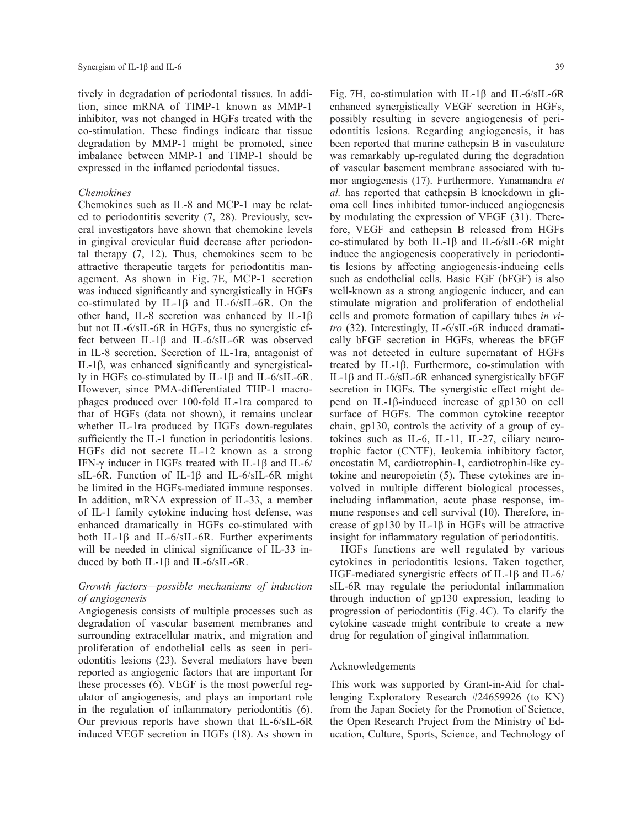tively in degradation of periodontal tissues. In addition, since mRNA of TIMP-1 known as MMP-1 inhibitor, was not changed in HGFs treated with the co-stimulation. These findings indicate that tissue degradation by MMP-1 might be promoted, since imbalance between MMP-1 and TIMP-1 should be expressed in the inflamed periodontal tissues.

#### *Chemokines*

Chemokines such as IL-8 and MCP-1 may be related to periodontitis severity (7, 28). Previously, several investigators have shown that chemokine levels in gingival crevicular fluid decrease after periodontal therapy (7, 12). Thus, chemokines seem to be attractive therapeutic targets for periodontitis management. As shown in Fig. 7E, MCP-1 secretion was induced significantly and synergistically in HGFs co-stimulated by IL-1β and IL-6/sIL-6R. On the other hand, IL-8 secretion was enhanced by IL-1β but not IL-6/sIL-6R in HGFs, thus no synergistic effect between IL-1β and IL-6/sIL-6R was observed in IL-8 secretion. Secretion of IL-1ra, antagonist of IL-1β, was enhanced significantly and synergistically in HGFs co-stimulated by IL-1β and IL-6/sIL-6R. However, since PMA-differentiated THP-1 macrophages produced over 100-fold IL-1ra compared to that of HGFs (data not shown), it remains unclear whether IL-1ra produced by HGFs down-regulates sufficiently the IL-1 function in periodontitis lesions. HGFs did not secrete IL-12 known as a strong IFN-γ inducer in HGFs treated with IL-1β and IL-6/ sIL-6R. Function of IL-1β and IL-6/sIL-6R might be limited in the HGFs-mediated immune responses. In addition, mRNA expression of IL-33, a member of IL-1 family cytokine inducing host defense, was enhanced dramatically in HGFs co-stimulated with both IL-1β and IL-6/sIL-6R. Further experiments will be needed in clinical significance of IL-33 induced by both IL-1β and IL-6/sIL-6R.

### *Growth factors—possible mechanisms of induction of angiogenesis*

Angiogenesis consists of multiple processes such as degradation of vascular basement membranes and surrounding extracellular matrix, and migration and proliferation of endothelial cells as seen in periodontitis lesions (23). Several mediators have been reported as angiogenic factors that are important for these processes (6). VEGF is the most powerful regulator of angiogenesis, and plays an important role in the regulation of inflammatory periodontitis (6). Our previous reports have shown that IL-6/sIL-6R induced VEGF secretion in HGFs (18). As shown in

Fig. 7H, co-stimulation with IL-1β and IL-6/sIL-6R enhanced synergistically VEGF secretion in HGFs, possibly resulting in severe angiogenesis of periodontitis lesions. Regarding angiogenesis, it has been reported that murine cathepsin B in vasculature was remarkably up-regulated during the degradation of vascular basement membrane associated with tumor angiogenesis (17). Furthermore, Yanamandra *et al.* has reported that cathepsin B knockdown in glioma cell lines inhibited tumor-induced angiogenesis by modulating the expression of VEGF (31). Therefore, VEGF and cathepsin B released from HGFs co-stimulated by both IL-1β and IL-6/sIL-6R might induce the angiogenesis cooperatively in periodontitis lesions by affecting angiogenesis-inducing cells such as endothelial cells. Basic FGF (bFGF) is also well-known as a strong angiogenic inducer, and can stimulate migration and proliferation of endothelial cells and promote formation of capillary tubes *in vitro* (32). Interestingly, IL-6/sIL-6R induced dramatically bFGF secretion in HGFs, whereas the bFGF was not detected in culture supernatant of HGFs treated by IL-1β. Furthermore, co-stimulation with IL-1β and IL-6/sIL-6R enhanced synergistically bFGF secretion in HGFs. The synergistic effect might depend on IL-1β-induced increase of gp130 on cell surface of HGFs. The common cytokine receptor chain, gp130, controls the activity of a group of cytokines such as IL-6, IL-11, IL-27, ciliary neurotrophic factor (CNTF), leukemia inhibitory factor, oncostatin M, cardiotrophin-1, cardiotrophin-like cytokine and neuropoietin (5). These cytokines are involved in multiple different biological processes, including inflammation, acute phase response, immune responses and cell survival (10). Therefore, increase of gp130 by IL-1β in HGFs will be attractive insight for inflammatory regulation of periodontitis.

HGFs functions are well regulated by various cytokines in periodontitis lesions. Taken together, HGF-mediated synergistic effects of IL-1β and IL-6/ sIL-6R may regulate the periodontal inflammation through induction of gp130 expression, leading to progression of periodontitis (Fig. 4C). To clarify the cytokine cascade might contribute to create a new drug for regulation of gingival inflammation.

# Acknowledgements

This work was supported by Grant-in-Aid for challenging Exploratory Research #24659926 (to KN) from the Japan Society for the Promotion of Science, the Open Research Project from the Ministry of Education, Culture, Sports, Science, and Technology of